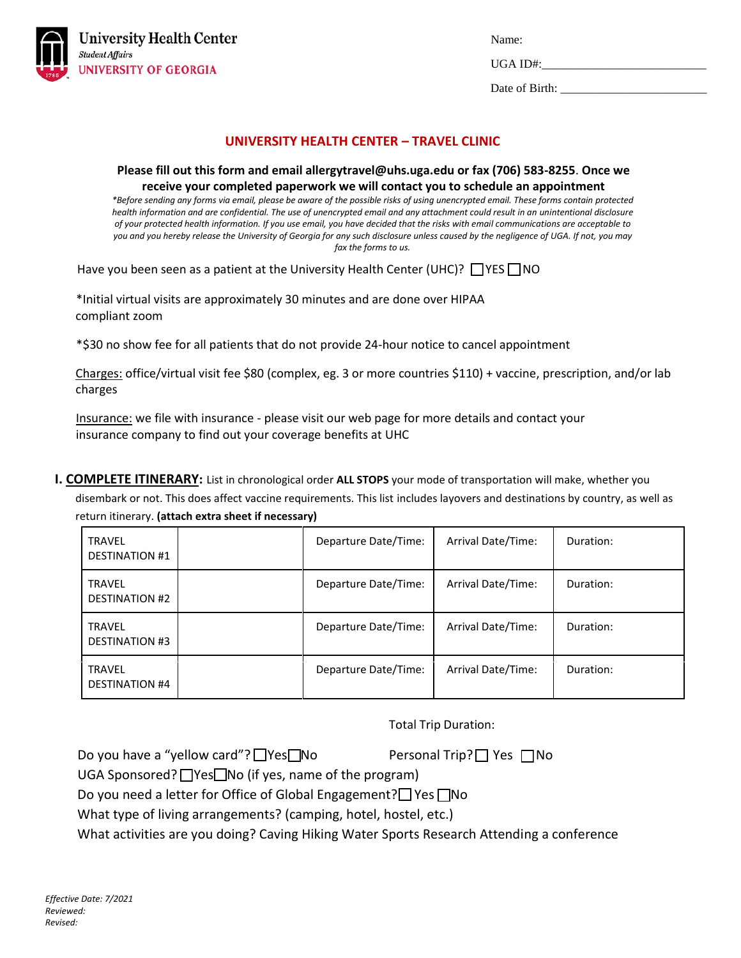

 $UGA ID#$ :

Date of Birth: \_\_\_\_\_\_\_\_\_\_\_\_\_\_\_\_\_\_\_\_\_\_\_\_

# **UNIVERSITY HEALTH CENTER – TRAVEL CLINIC**

#### **Please fill out this form and email allergytravel@uhs.uga.edu or fax (706) 583-8255**. **Once we receive your completed paperwork we will contact you to schedule an appointment**

*\*Before sending any forms via email, please be aware of the possible risks of using unencrypted email. These forms contain protected health information and are confidential. The use of unencrypted email and any attachment could result in an unintentional disclosure of your protected health information. If you use email, you have decided that the risks with email communications are acceptable to you and you hereby release the University of Georgia for any such disclosure unless caused by the negligence of UGA. If not, you may fax the forms to us.*

Have you been seen as a patient at the University Health Center (UHC)?  $\Box$  YES  $\Box$  NO

\*Initial virtual visits are approximately 30 minutes and are done over HIPAA compliant zoom

\*\$30 no show fee for all patients that do not provide 24-hour notice to cancel appointment

Charges: office/virtual visit fee \$80 (complex, eg. 3 or more countries \$110) + vaccine, prescription, and/or lab charges

Insurance: we file with insurance - please visit our web page for more details and contact your insurance company to find out your coverage benefits at UHC

**I. COMPLETE ITINERARY:** List in chronological order **ALL STOPS** your mode of transportation will make, whether you disembark or not. This does affect vaccine requirements. This list includes layovers and destinations by country, as well as return itinerary. **(attach extra sheet if necessary)**

| <b>TRAVEL</b><br><b>DESTINATION #1</b> | Departure Date/Time: | Arrival Date/Time: | Duration: |
|----------------------------------------|----------------------|--------------------|-----------|
| <b>TRAVEL</b><br><b>DESTINATION #2</b> | Departure Date/Time: | Arrival Date/Time: | Duration: |
| <b>TRAVEL</b><br><b>DESTINATION #3</b> | Departure Date/Time: | Arrival Date/Time: | Duration: |
| <b>TRAVEL</b><br><b>DESTINATION #4</b> | Departure Date/Time: | Arrival Date/Time: | Duration: |

Total Trip Duration:

Do you have a "yellow card"?  $\Box$  Yes  $\Box$  No Personal Trip?  $\Box$  Yes  $\Box$  No

UGA Sponsored?  $\Box$  Yes $\Box$  No (if yes, name of the program)

Do you need a letter for Office of Global Engagement?  $\Box$  Yes  $\Box$  No

What type of living arrangements? (camping, hotel, hostel, etc.)

What activities are you doing? Caving Hiking Water Sports Research Attending a conference